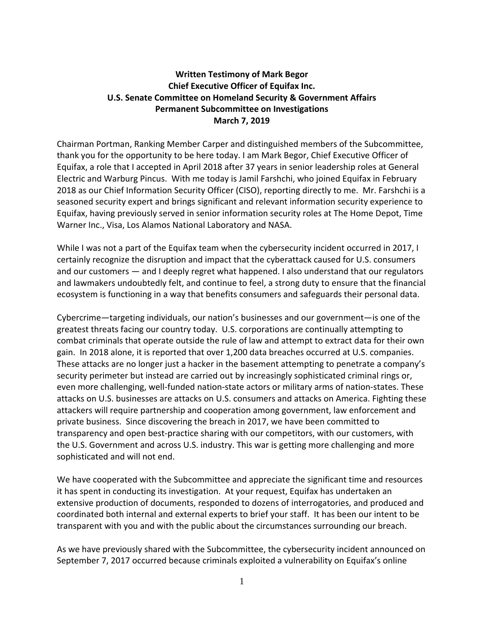## **Written Testimony of Mark Begor Chief Executive Officer of Equifax Inc. U.S. Senate Committee on Homeland Security & Government Affairs Permanent Subcommittee on Investigations March 7, 2019**

Chairman Portman, Ranking Member Carper and distinguished members of the Subcommittee, thank you for the opportunity to be here today. I am Mark Begor, Chief Executive Officer of Equifax, a role that I accepted in April 2018 after 37 years in senior leadership roles at General Electric and Warburg Pincus. With me today is Jamil Farshchi, who joined Equifax in February 2018 as our Chief Information Security Officer (CISO), reporting directly to me. Mr. Farshchi is a seasoned security expert and brings significant and relevant information security experience to Equifax, having previously served in senior information security roles at The Home Depot, Time Warner Inc., Visa, Los Alamos National Laboratory and NASA.

While I was not a part of the Equifax team when the cybersecurity incident occurred in 2017, I certainly recognize the disruption and impact that the cyberattack caused for U.S. consumers and our customers — and I deeply regret what happened. I also understand that our regulators and lawmakers undoubtedly felt, and continue to feel, a strong duty to ensure that the financial ecosystem is functioning in a way that benefits consumers and safeguards their personal data.

Cybercrime—targeting individuals, our nation's businesses and our government—is one of the greatest threats facing our country today. U.S. corporations are continually attempting to combat criminals that operate outside the rule of law and attempt to extract data for their own gain. In 2018 alone, it is reported that over 1,200 data breaches occurred at U.S. companies. These attacks are no longer just a hacker in the basement attempting to penetrate a company's security perimeter but instead are carried out by increasingly sophisticated criminal rings or, even more challenging, well-funded nation-state actors or military arms of nation-states. These attacks on U.S. businesses are attacks on U.S. consumers and attacks on America. Fighting these attackers will require partnership and cooperation among government, law enforcement and private business. Since discovering the breach in 2017, we have been committed to transparency and open best-practice sharing with our competitors, with our customers, with the U.S. Government and across U.S. industry. This war is getting more challenging and more sophisticated and will not end.

We have cooperated with the Subcommittee and appreciate the significant time and resources it has spent in conducting its investigation. At your request, Equifax has undertaken an extensive production of documents, responded to dozens of interrogatories, and produced and coordinated both internal and external experts to brief your staff. It has been our intent to be transparent with you and with the public about the circumstances surrounding our breach.

As we have previously shared with the Subcommittee, the cybersecurity incident announced on September 7, 2017 occurred because criminals exploited a vulnerability on Equifax's online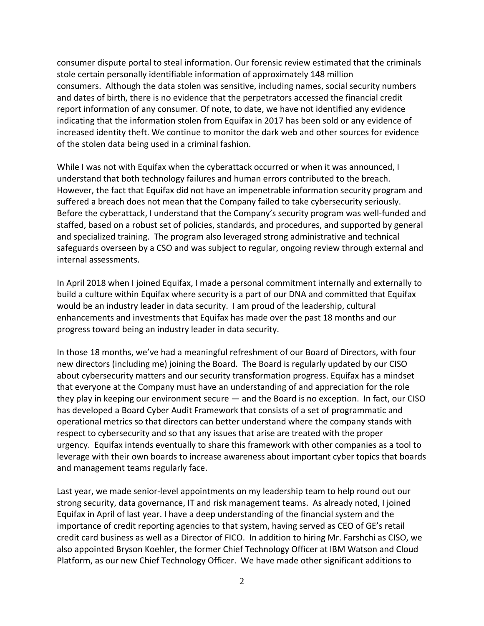consumer dispute portal to steal information. Our forensic review estimated that the criminals stole certain personally identifiable information of approximately 148 million consumers. Although the data stolen was sensitive, including names, social security numbers and dates of birth, there is no evidence that the perpetrators accessed the financial credit report information of any consumer. Of note, to date, we have not identified any evidence indicating that the information stolen from Equifax in 2017 has been sold or any evidence of increased identity theft. We continue to monitor the dark web and other sources for evidence of the stolen data being used in a criminal fashion.

While I was not with Equifax when the cyberattack occurred or when it was announced, I understand that both technology failures and human errors contributed to the breach. However, the fact that Equifax did not have an impenetrable information security program and suffered a breach does not mean that the Company failed to take cybersecurity seriously. Before the cyberattack, I understand that the Company's security program was well-funded and staffed, based on a robust set of policies, standards, and procedures, and supported by general and specialized training. The program also leveraged strong administrative and technical safeguards overseen by a CSO and was subject to regular, ongoing review through external and internal assessments.

In April 2018 when I joined Equifax, I made a personal commitment internally and externally to build a culture within Equifax where security is a part of our DNA and committed that Equifax would be an industry leader in data security. I am proud of the leadership, cultural enhancements and investments that Equifax has made over the past 18 months and our progress toward being an industry leader in data security.

In those 18 months, we've had a meaningful refreshment of our Board of Directors, with four new directors (including me) joining the Board. The Board is regularly updated by our CISO about cybersecurity matters and our security transformation progress. Equifax has a mindset that everyone at the Company must have an understanding of and appreciation for the role they play in keeping our environment secure — and the Board is no exception. In fact, our CISO has developed a Board Cyber Audit Framework that consists of a set of programmatic and operational metrics so that directors can better understand where the company stands with respect to cybersecurity and so that any issues that arise are treated with the proper urgency. Equifax intends eventually to share this framework with other companies as a tool to leverage with their own boards to increase awareness about important cyber topics that boards and management teams regularly face.

Last year, we made senior-level appointments on my leadership team to help round out our strong security, data governance, IT and risk management teams. As already noted, I joined Equifax in April of last year. I have a deep understanding of the financial system and the importance of credit reporting agencies to that system, having served as CEO of GE's retail credit card business as well as a Director of FICO. In addition to hiring Mr. Farshchi as CISO, we also appointed Bryson Koehler, the former Chief Technology Officer at IBM Watson and Cloud Platform, as our new Chief Technology Officer. We have made other significant additions to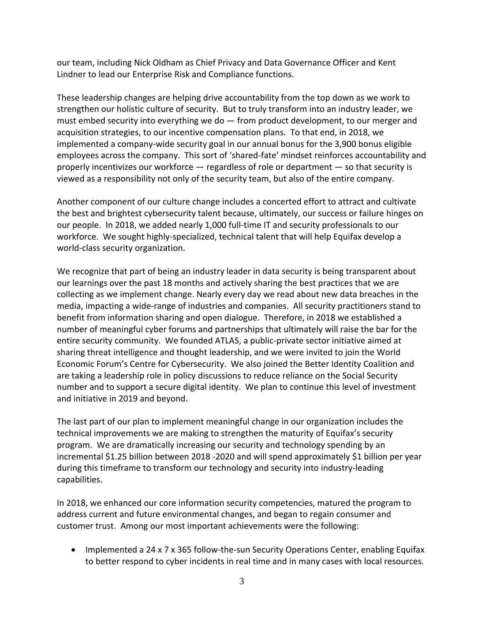our team, including Nick Oldham as Chief Privacy and Data Governance Officer and Kent Lindner to lead our Enterprise Risk and Compliance functions.

These leadership changes are helping drive accountability from the top down as we work to strengthen our holistic culture of security. But to truly transform into an industry leader, we must embed security into everything we do — from product development, to our merger and acquisition strategies, to our incentive compensation plans. To that end, in 2018, we implemented a company-wide security goal in our annual bonus for the 3,900 bonus eligible employees across the company. This sort of 'shared-fate' mindset reinforces accountability and properly incentivizes our workforce — regardless of role or department — so that security is viewed as a responsibility not only of the security team, but also of the entire company.

Another component of our culture change includes a concerted effort to attract and cultivate the best and brightest cybersecurity talent because, ultimately, our success or failure hinges on our people. In 2018, we added nearly 1,000 full-time IT and security professionals to our workforce. We sought highly-specialized, technical talent that will help Equifax develop a world-class security organization.

We recognize that part of being an industry leader in data security is being transparent about our learnings over the past 18 months and actively sharing the best practices that we are collecting as we implement change. Nearly every day we read about new data breaches in the media, impacting a wide-range of industries and companies. All security practitioners stand to benefit from information sharing and open dialogue. Therefore, in 2018 we established a number of meaningful cyber forums and partnerships that ultimately will raise the bar for the entire security community. We founded ATLAS, a public-private sector initiative aimed at sharing threat intelligence and thought leadership, and we were invited to join the World Economic Forum's Centre for Cybersecurity. We also joined the Better Identity Coalition and are taking a leadership role in policy discussions to reduce reliance on the Social Security number and to support a secure digital identity. We plan to continue this level of investment and initiative in 2019 and beyond.

The last part of our plan to implement meaningful change in our organization includes the technical improvements we are making to strengthen the maturity of Equifax's security program. We are dramatically increasing our security and technology spending by an incremental \$1.25 billion between 2018 -2020 and will spend approximately \$1 billion per year during this timeframe to transform our technology and security into industry-leading capabilities.

In 2018, we enhanced our core information security competencies, matured the program to address current and future environmental changes, and began to regain consumer and customer trust. Among our most important achievements were the following:

• Implemented a 24 x 7 x 365 follow-the-sun Security Operations Center, enabling Equifax to better respond to cyber incidents in real time and in many cases with local resources.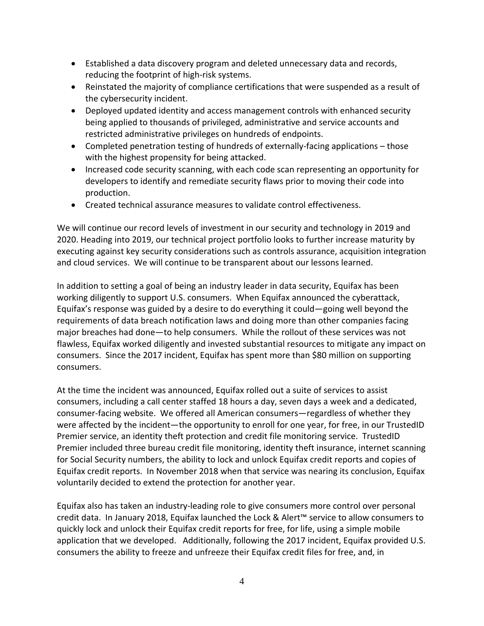- Established a data discovery program and deleted unnecessary data and records, reducing the footprint of high-risk systems.
- Reinstated the majority of compliance certifications that were suspended as a result of the cybersecurity incident.
- Deployed updated identity and access management controls with enhanced security being applied to thousands of privileged, administrative and service accounts and restricted administrative privileges on hundreds of endpoints.
- Completed penetration testing of hundreds of externally-facing applications those with the highest propensity for being attacked.
- Increased code security scanning, with each code scan representing an opportunity for developers to identify and remediate security flaws prior to moving their code into production.
- Created technical assurance measures to validate control effectiveness.

We will continue our record levels of investment in our security and technology in 2019 and 2020. Heading into 2019, our technical project portfolio looks to further increase maturity by executing against key security considerations such as controls assurance, acquisition integration and cloud services. We will continue to be transparent about our lessons learned.

In addition to setting a goal of being an industry leader in data security, Equifax has been working diligently to support U.S. consumers. When Equifax announced the cyberattack, Equifax's response was guided by a desire to do everything it could—going well beyond the requirements of data breach notification laws and doing more than other companies facing major breaches had done—to help consumers. While the rollout of these services was not flawless, Equifax worked diligently and invested substantial resources to mitigate any impact on consumers. Since the 2017 incident, Equifax has spent more than \$80 million on supporting consumers.

At the time the incident was announced, Equifax rolled out a suite of services to assist consumers, including a call center staffed 18 hours a day, seven days a week and a dedicated, consumer-facing website. We offered all American consumers—regardless of whether they were affected by the incident—the opportunity to enroll for one year, for free, in our TrustedID Premier service, an identity theft protection and credit file monitoring service. TrustedID Premier included three bureau credit file monitoring, identity theft insurance, internet scanning for Social Security numbers, the ability to lock and unlock Equifax credit reports and copies of Equifax credit reports. In November 2018 when that service was nearing its conclusion, Equifax voluntarily decided to extend the protection for another year.

Equifax also has taken an industry-leading role to give consumers more control over personal credit data. In January 2018, Equifax launched the Lock & Alert™ service to allow consumers to quickly lock and unlock their Equifax credit reports for free, for life, using a simple mobile application that we developed. Additionally, following the 2017 incident, Equifax provided U.S. consumers the ability to freeze and unfreeze their Equifax credit files for free, and, in